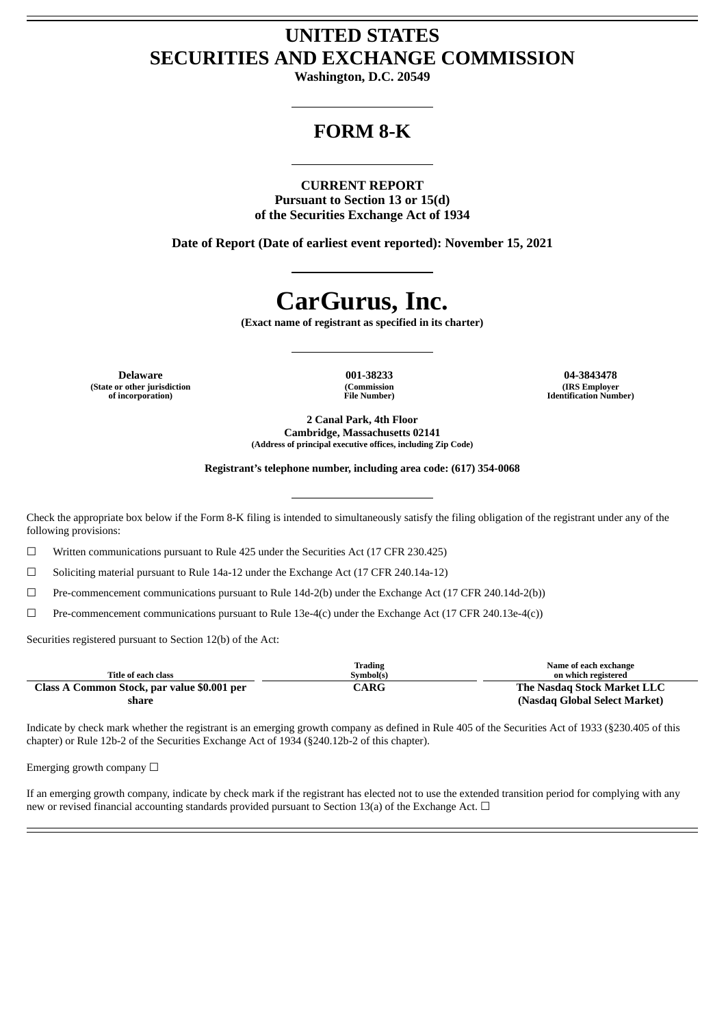## **UNITED STATES SECURITIES AND EXCHANGE COMMISSION**

**Washington, D.C. 20549**

## **FORM 8-K**

### **CURRENT REPORT**

**Pursuant to Section 13 or 15(d) of the Securities Exchange Act of 1934**

**Date of Report (Date of earliest event reported): November 15, 2021**

# **CarGurus, Inc.**

**(Exact name of registrant as specified in its charter)**

**(State or other jurisdiction of incorporation)**

**(Commission File Number)**

**Delaware 001-38233 04-3843478 (IRS Employer Identification Number)**

> **2 Canal Park, 4th Floor Cambridge, Massachusetts 02141 (Address of principal executive offices, including Zip Code)**

**Registrant's telephone number, including area code: (617) 354-0068**

Check the appropriate box below if the Form 8-K filing is intended to simultaneously satisfy the filing obligation of the registrant under any of the following provisions:

☐ Written communications pursuant to Rule 425 under the Securities Act (17 CFR 230.425)

☐ Soliciting material pursuant to Rule 14a-12 under the Exchange Act (17 CFR 240.14a-12)

☐ Pre-commencement communications pursuant to Rule 14d-2(b) under the Exchange Act (17 CFR 240.14d-2(b))

☐ Pre-commencement communications pursuant to Rule 13e-4(c) under the Exchange Act (17 CFR 240.13e-4(c))

Securities registered pursuant to Section 12(b) of the Act:

| Title of each class                         | Trading<br>Symbol(s)    | Name of each exchange<br>on which registered |
|---------------------------------------------|-------------------------|----------------------------------------------|
| Class A Common Stock, par value \$0.001 per | $\mathbb C\mathbf{ARG}$ | The Nasdag Stock Market LLC                  |
| share                                       |                         | (Nasdaq Global Select Market)                |

Indicate by check mark whether the registrant is an emerging growth company as defined in Rule 405 of the Securities Act of 1933 (§230.405 of this chapter) or Rule 12b-2 of the Securities Exchange Act of 1934 (§240.12b-2 of this chapter).

Emerging growth company  $\Box$ 

If an emerging growth company, indicate by check mark if the registrant has elected not to use the extended transition period for complying with any new or revised financial accounting standards provided pursuant to Section 13(a) of the Exchange Act. □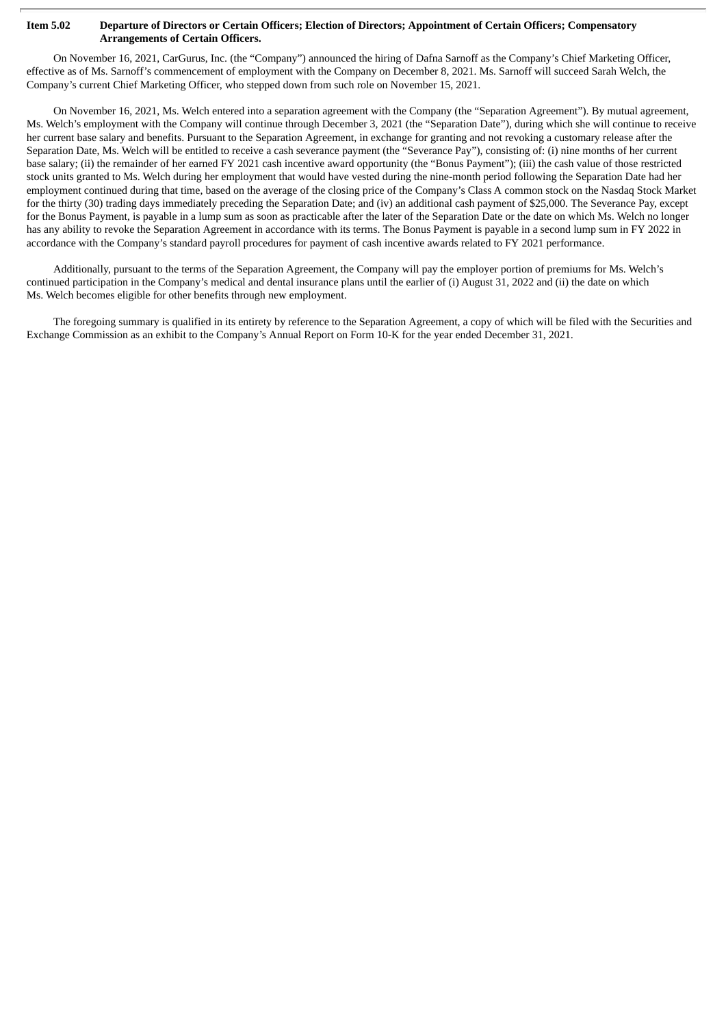#### Item 5.02 Departure of Directors or Certain Officers; Election of Directors; Appointment of Certain Officers; Compensatory **Arrangements of Certain Officers.**

On November 16, 2021, CarGurus, Inc. (the "Company") announced the hiring of Dafna Sarnoff as the Company's Chief Marketing Officer, effective as of Ms. Sarnoff's commencement of employment with the Company on December 8, 2021. Ms. Sarnoff will succeed Sarah Welch, the Company's current Chief Marketing Officer, who stepped down from such role on November 15, 2021.

On November 16, 2021, Ms. Welch entered into a separation agreement with the Company (the "Separation Agreement"). By mutual agreement, Ms. Welch's employment with the Company will continue through December 3, 2021 (the "Separation Date"), during which she will continue to receive her current base salary and benefits. Pursuant to the Separation Agreement, in exchange for granting and not revoking a customary release after the Separation Date, Ms. Welch will be entitled to receive a cash severance payment (the "Severance Pay"), consisting of: (i) nine months of her current base salary; (ii) the remainder of her earned FY 2021 cash incentive award opportunity (the "Bonus Payment"); (iii) the cash value of those restricted stock units granted to Ms. Welch during her employment that would have vested during the nine-month period following the Separation Date had her employment continued during that time, based on the average of the closing price of the Company's Class A common stock on the Nasdaq Stock Market for the thirty (30) trading days immediately preceding the Separation Date; and (iv) an additional cash payment of \$25,000. The Severance Pay, except for the Bonus Payment, is payable in a lump sum as soon as practicable after the later of the Separation Date or the date on which Ms. Welch no longer has any ability to revoke the Separation Agreement in accordance with its terms. The Bonus Payment is payable in a second lump sum in FY 2022 in accordance with the Company's standard payroll procedures for payment of cash incentive awards related to FY 2021 performance.

Additionally, pursuant to the terms of the Separation Agreement, the Company will pay the employer portion of premiums for Ms. Welch's continued participation in the Company's medical and dental insurance plans until the earlier of (i) August 31, 2022 and (ii) the date on which Ms. Welch becomes eligible for other benefits through new employment.

The foregoing summary is qualified in its entirety by reference to the Separation Agreement, a copy of which will be filed with the Securities and Exchange Commission as an exhibit to the Company's Annual Report on Form 10-K for the year ended December 31, 2021.